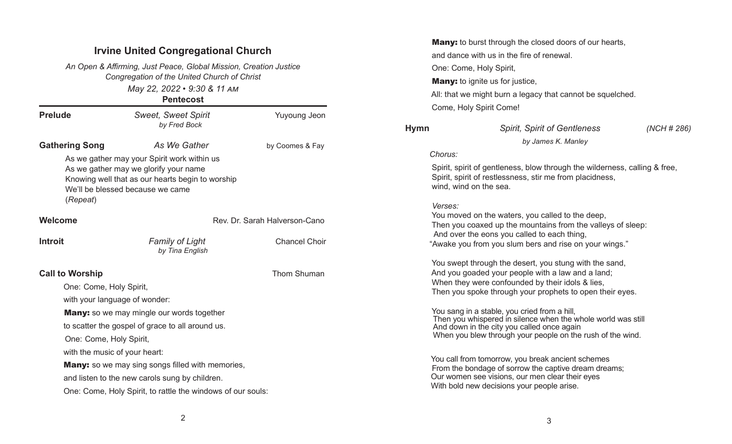# Irvine United Congregational Church

May 22, 2022 • 9:30 & 11 AM **Pontecost** An Open & Affirming, Just Peace, Global Mission, Creation Justice Congregation of the United Church of Christ

|                               | <b>GIILGCOSL</b>                                                                                                                                                             |                               |  |
|-------------------------------|------------------------------------------------------------------------------------------------------------------------------------------------------------------------------|-------------------------------|--|
| <b>Prelude</b>                | <b>Sweet, Sweet Spirit</b><br>by Fred Bock                                                                                                                                   | <b>Yuyoung Jeon</b>           |  |
| <b>Gathering Song</b>         | As We Gather                                                                                                                                                                 | by Coomes & Fay               |  |
| (Repeat)                      | As we gather may your Spirit work within us<br>As we gather may we glorify your name<br>Knowing well that as our hearts begin to worship<br>We'll be blessed because we came |                               |  |
| Welcome                       |                                                                                                                                                                              | Rev. Dr. Sarah Halverson-Cano |  |
| <b>Introit</b>                | <b>Family of Light</b><br>by Tina English                                                                                                                                    | <b>Chancel Choir</b>          |  |
| <b>Call to Worship</b>        |                                                                                                                                                                              | <b>Thom Shuman</b>            |  |
| One: Come, Holy Spirit,       |                                                                                                                                                                              |                               |  |
| with your language of wonder: |                                                                                                                                                                              |                               |  |
|                               | <b>Many:</b> so we may mingle our words together                                                                                                                             |                               |  |
|                               | to scatter the gospel of grace to all around us.                                                                                                                             |                               |  |
| One: Come, Holy Spirit,       |                                                                                                                                                                              |                               |  |
| with the music of your heart: |                                                                                                                                                                              |                               |  |
|                               | <b>Many:</b> so we may sing songs filled with memories,                                                                                                                      |                               |  |
|                               | and listen to the new carols sung by children.                                                                                                                               |                               |  |
|                               | One: Come, Holy Spirit, to rattle the windows of our souls:                                                                                                                  |                               |  |

**Many:** to burst through the closed doors of our hearts, and dance with us in the fire of renewal. One: Come, Holy Spirit, **Many:** to ignite us for justice, All: that we might burn a legacy that cannot be squelched. Come, Holy Spirit Come!

# Hymn Spirit, Spirit of Gentleness (NCH # 286) by James K. Manley Chorus: Spirit, spirit of gentleness, blow through the wilderness, calling & free, Spirit, spirit of restlessness, stir me from placidness, wind, wind on the sea. Verses: You moved on the waters, you called to the deep, Then you coaxed up the mountains from the valleys of sleep: And over the eons you called to each thing, "Awake you from you slum bers and rise on your wings." You swept through the desert, you stung with the sand, And you goaded your people with a law and a land; When they were confounded by their idols & lies, Then you spoke through your prophets to open their eyes. You sang in a stable, you cried from a hill,

 Then you whispered in silence when the whole world was still And down in the city you called once again When you blew through your people on the rush of the wind.

 You call from tomorrow, you break ancient schemes From the bondage of sorrow the captive dream dreams; Our women see visions, our men clear their eyes With bold new decisions your people arise.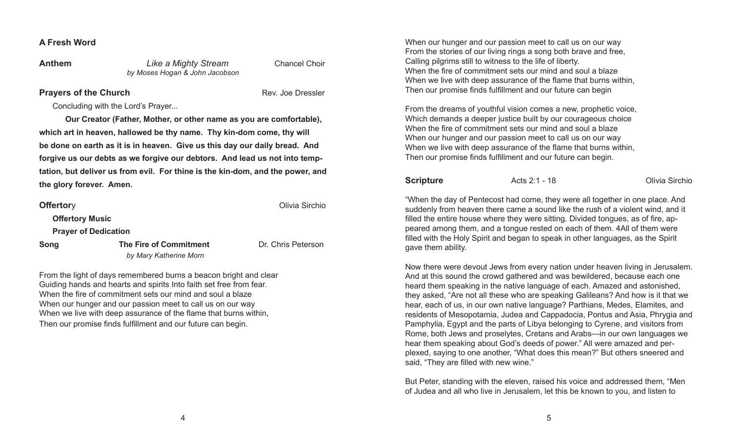### A Fresh Word

### **Anthem Like a Mighty Stream Chancel Choir** by Moses Hogan & John Jacobson

**Prayers of the Church Church Rev. Joe Dressler** 

Olivia Sirchio

Concluding with the Lord's Prayer...

 Our Creator (Father, Mother, or other name as you are comfortable), which art in heaven, hallowed be thy name. Thy kin-dom come, thy will be done on earth as it is in heaven. Give us this day our daily bread. And forgive us our debts as we forgive our debtors. And lead us not into temptation, but deliver us from evil. For thine is the kin-dom, and the power, and the glory forever. Amen.

|  |  | <b>Offertory</b> |  |
|--|--|------------------|--|
|  |  |                  |  |

**Offertory Music** 

Prayer of Dedication

**Song The Fire of Commitment Commitment** Dr. Chris Peterson by Mary Katherine Morn

From the light of days remembered burns a beacon bright and clear Guiding hands and hearts and spirits Into faith set free from fear. When the fire of commitment sets our mind and soul a blaze When our hunger and our passion meet to call us on our way When we live with deep assurance of the flame that burns within, Then our promise finds fulfillment and our future can begin.

When our hunger and our passion meet to call us on our way From the stories of our living rings a song both brave and free, Calling pilgrims still to witness to the life of liberty. When the fire of commitment sets our mind and soul a blaze When we live with deep assurance of the flame that burns within, Then our promise finds fulfillment and our future can begin

From the dreams of youthful vision comes a new, prophetic voice, Which demands a deeper justice built by our courageous choice When the fire of commitment sets our mind and soul a blaze When our hunger and our passion meet to call us on our way When we live with deep assurance of the flame that burns within, Then our promise finds fulfillment and our future can begin.

**Scripture Acts 2:1 - 18** Olivia Sirchio

"When the day of Pentecost had come, they were all together in one place. And suddenly from heaven there came a sound like the rush of a violent wind, and it filled the entire house where they were sitting. Divided tongues, as of fire, appeared among them, and a tongue rested on each of them. 4All of them were filled with the Holy Spirit and began to speak in other languages, as the Spirit gave them ability.

Now there were devout Jews from every nation under heaven living in Jerusalem. And at this sound the crowd gathered and was bewildered, because each one heard them speaking in the native language of each. Amazed and astonished, they asked, "Are not all these who are speaking Galileans? And how is it that we hear, each of us, in our own native language? Parthians, Medes, Elamites, and residents of Mesopotamia, Judea and Cappadocia, Pontus and Asia, Phrygia and Pamphylia, Egypt and the parts of Libya belonging to Cyrene, and visitors from Rome, both Jews and proselytes, Cretans and Arabs—in our own languages we hear them speaking about God's deeds of power." All were amazed and perplexed, saying to one another, "What does this mean?" But others sneered and said, "They are filled with new wine."

But Peter, standing with the eleven, raised his voice and addressed them, "Men of Judea and all who live in Jerusalem, let this be known to you, and listen to